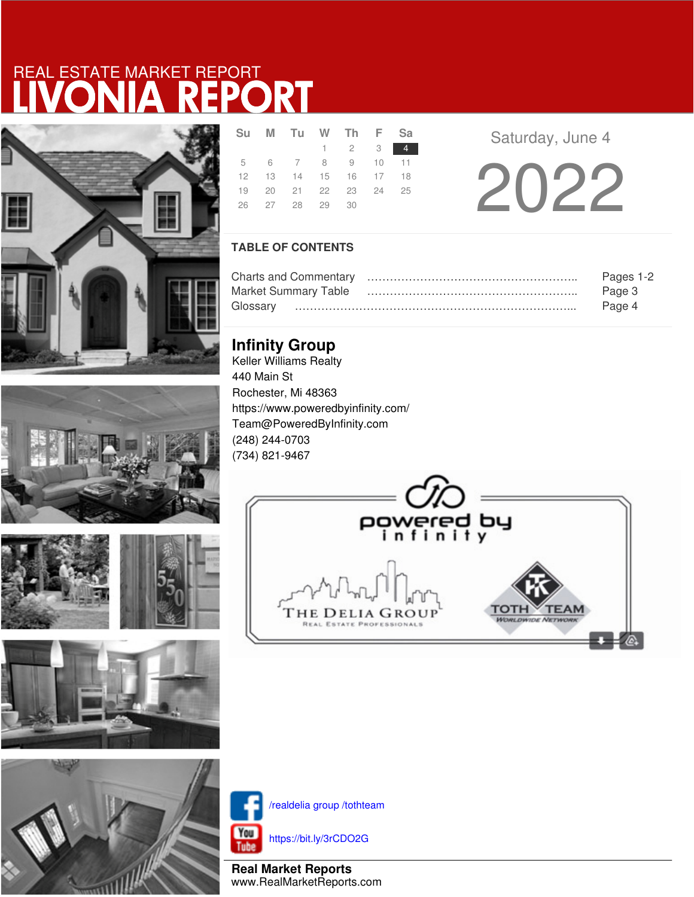









|  | Su M Tu W Th F Sa          |                             |  |  |
|--|----------------------------|-----------------------------|--|--|
|  |                            | $1 \quad 2 \quad 3 \quad 4$ |  |  |
|  | 5 6 7 8 9 10 11            |                             |  |  |
|  | 12  13  14  15  16  17  18 |                             |  |  |
|  | 19 20 21 22 23 24 25       |                             |  |  |
|  | 26 27 28 29 30             |                             |  |  |
|  |                            |                             |  |  |

**Saturday, June 4** 

2022

### **TABLE OF CONTENTS**

|                             | Pages 1-2 |
|-----------------------------|-----------|
| <b>Market Summary Table</b> | Page 3    |
|                             | Page 4    |

## **Infinity Group**

Keller Williams Realty 440 Main St Rochester, Mi 48363 https://www.poweredbyinfinity.com/ Team@PoweredByInfinity.com (248) 244-0703 (734) 821-9467





/realdelia group /tothteam

https://bit.ly/3rCDO2G

**Real Market Reports** www.RealMarketReports.com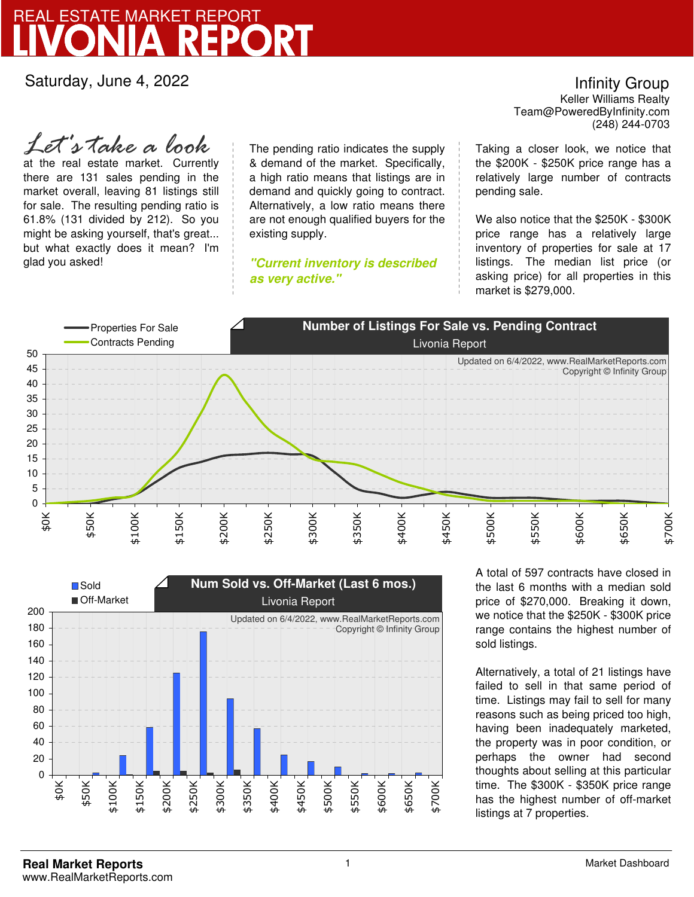Saturday, June 4, 2022

at the real estate market. Currently there are 131 sales pending in the market overall, leaving 81 listings still for sale. The resulting pending ratio is 61.8% (131 divided by 212). So you might be asking yourself, that's great... but what exactly does it mean? I'm glad you asked! *Let's take a look*

The pending ratio indicates the supply & demand of the market. Specifically, a high ratio means that listings are in demand and quickly going to contract. Alternatively, a low ratio means there are not enough qualified buyers for the existing supply.

**"Current inventory is described as very active."**

Team@PoweredByInfinity.com Infinity Group Keller Williams Realty (248) 244-0703

Taking a closer look, we notice that the \$200K - \$250K price range has a relatively large number of contracts pending sale.

We also notice that the \$250K - \$300K price range has a relatively large inventory of properties for sale at 17 listings. The median list price (or asking price) for all properties in this market is \$279,000.





A total of 597 contracts have closed in the last 6 months with a median sold price of \$270,000. Breaking it down, we notice that the \$250K - \$300K price range contains the highest number of sold listings.

Alternatively, a total of 21 listings have failed to sell in that same period of time. Listings may fail to sell for many reasons such as being priced too high, having been inadequately marketed, the property was in poor condition, or perhaps the owner had second thoughts about selling at this particular time. The \$300K - \$350K price range has the highest number of off-market listings at 7 properties.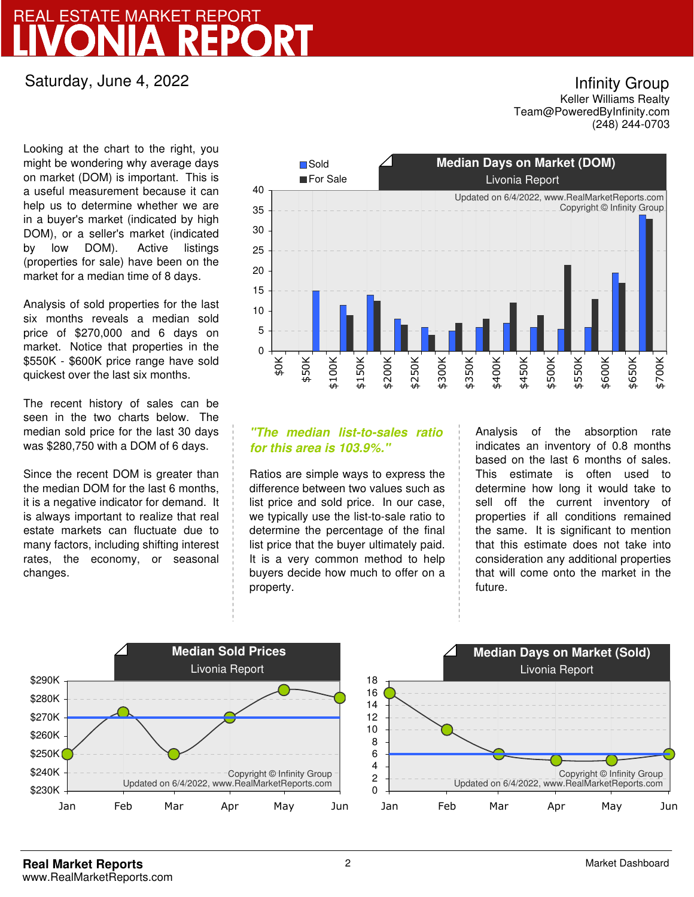### Saturday, June 4, 2022

Looking at the chart to the right, you might be wondering why average days on market (DOM) is important. This is a useful measurement because it can help us to determine whether we are in a buyer's market (indicated by high DOM), or a seller's market (indicated by low DOM). Active listings (properties for sale) have been on the market for a median time of 8 days.

Analysis of sold properties for the last six months reveals a median sold price of \$270,000 and 6 days on market. Notice that properties in the \$550K - \$600K price range have sold quickest over the last six months.

The recent history of sales can be seen in the two charts below. The median sold price for the last 30 days was \$280,750 with a DOM of 6 days.

Since the recent DOM is greater than the median DOM for the last 6 months, it is a negative indicator for demand. It is always important to realize that real estate markets can fluctuate due to many factors, including shifting interest rates, the economy, or seasonal changes.



### **"The median list-to-sales ratio for this area is 103.9%."**

Ratios are simple ways to express the difference between two values such as list price and sold price. In our case, we typically use the list-to-sale ratio to determine the percentage of the final list price that the buyer ultimately paid. It is a very common method to help buyers decide how much to offer on a property.

Analysis of the absorption rate indicates an inventory of 0.8 months based on the last 6 months of sales. This estimate is often used to determine how long it would take to sell off the current inventory of properties if all conditions remained the same. It is significant to mention that this estimate does not take into consideration any additional properties that will come onto the market in the future.



Team@PoweredByInfinity.com Infinity Group Keller Williams Realty (248) 244-0703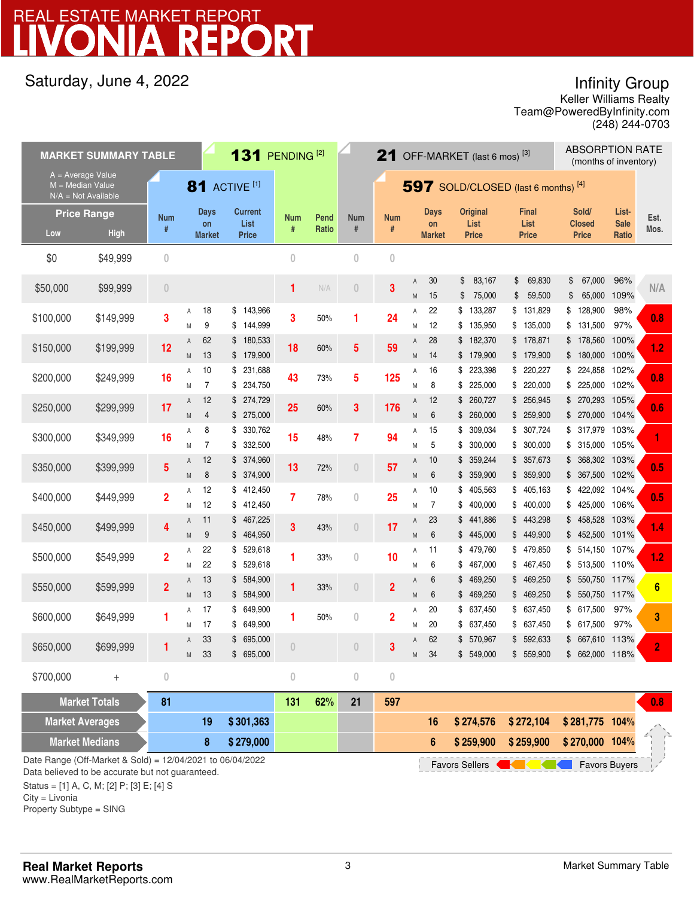## Saturday, June 4, 2022

## Infinity Group

Team@PoweredByInfinity.com Keller Williams Realty (248) 244-0703

| <b>MARKET SUMMARY TABLE</b>                                                                                                                                                                                                                         |                                                                    |                         | 131 PENDING <sup>[2]</sup>  |                                        |                |               | 21 OFF-MARKET (last 6 mos) $^{[3]}$  |                    |           |                                     |                                  | <b>ABSORPTION RATE</b><br>(months of inventory) |                                          |                               |                  |
|-----------------------------------------------------------------------------------------------------------------------------------------------------------------------------------------------------------------------------------------------------|--------------------------------------------------------------------|-------------------------|-----------------------------|----------------------------------------|----------------|---------------|--------------------------------------|--------------------|-----------|-------------------------------------|----------------------------------|-------------------------------------------------|------------------------------------------|-------------------------------|------------------|
|                                                                                                                                                                                                                                                     | $A = Average Value$<br>$M = Median Value$<br>$N/A = Not Available$ |                         |                             | <b>81</b> ACTIVE <sup>[1]</sup>        |                |               |                                      |                    |           | 597 SOLD/CLOSED (last 6 months) [4] |                                  |                                                 |                                          |                               |                  |
| <b>Price Range</b><br>Low                                                                                                                                                                                                                           | <b>High</b>                                                        | <b>Num</b><br>#         | Days<br>on<br><b>Market</b> | <b>Current</b><br>List<br><b>Price</b> | Num<br>#       | Pend<br>Ratio | <b>Num</b><br>$\#$                   | <b>Num</b><br>$\#$ |           | Days<br>on<br><b>Market</b>         | Original<br>List<br><b>Price</b> | <b>Final</b><br>List<br><b>Price</b>            | Sold/<br>Closed<br><b>Price</b>          | List-<br><b>Sale</b><br>Ratio | Est.<br>Mos.     |
| \$0                                                                                                                                                                                                                                                 | \$49,999                                                           | $\overline{0}$          |                             |                                        | $\overline{0}$ |               | $\theta$                             | $\overline{0}$     |           |                                     |                                  |                                                 |                                          |                               |                  |
| \$50,000                                                                                                                                                                                                                                            | \$99,999                                                           | $\overline{0}$          |                             |                                        | 1              | N/A           | $\theta$                             | 3                  | Α<br>M    | 30<br>15                            | 83,167<br>\$<br>\$<br>75,000     | 69,830<br>\$<br>\$<br>59,500                    | \$<br>67,000<br>\$<br>65,000             | 96%<br>109%                   | N/A              |
| \$100,000                                                                                                                                                                                                                                           | \$149,999                                                          | 3                       | 18<br>Α<br>9<br>M           | \$143,966<br>144,999<br>\$             | 3              | 50%           | 1                                    | 24                 | Α<br>M    | 22<br>12                            | \$<br>133,287<br>\$135,950       | \$131,829<br>\$135,000                          | \$<br>128,900<br>\$131,500               | 98%<br>97%                    | 0.8              |
| \$150,000                                                                                                                                                                                                                                           | \$199,999                                                          | 12                      | 62<br>Α<br>13<br>M          | 180,533<br>\$<br>\$179,900             | 18             | 60%           | 5                                    | 59                 | Α<br>M    | 28<br>14                            | 182,370<br>\$<br>\$179,900       | \$178,871<br>\$179,900                          | \$178,560<br>180,000 100%<br>\$          | 100%                          | 1.2              |
| \$200,000                                                                                                                                                                                                                                           | \$249,999                                                          | 16                      | 10<br>Α<br>7<br>M           | \$<br>231,688<br>234,750<br>\$         | 43             | 73%           | 5                                    | 125                | Α<br>M    | 16<br>8                             | \$<br>223,398<br>225,000<br>\$   | \$220,227<br>\$220,000                          | \$<br>224,858<br>225,000 102%<br>\$      | 102%                          | 0.8              |
| \$250,000                                                                                                                                                                                                                                           | \$299,999                                                          | 17                      | 12<br>Α<br>4<br>M           | \$274,729<br>275,000<br>\$             | 25             | 60%           | 3                                    | 176                | Α<br>M    | 12<br>6                             | 260,727<br>\$<br>260,000<br>\$   | \$256,945<br>\$259,900                          | \$270,293<br>270,000<br>\$               | 105%<br>104%                  | 0.6              |
| \$300,000                                                                                                                                                                                                                                           | \$349,999                                                          | 16                      | 8<br>А<br>7<br>M            | 330,762<br>\$<br>332,500<br>\$         | 15             | 48%           | $\overline{7}$                       | 94                 | Α<br>M    | 15<br>5                             | 309,034<br>\$<br>300,000<br>\$   | \$307,724<br>\$300,000                          | \$<br>317.979<br>315,000 105%<br>\$      | 103%                          |                  |
| \$350,000                                                                                                                                                                                                                                           | \$399,999                                                          | 5                       | 12<br>Α<br>8<br>M           | 374,960<br>\$<br>\$374,900             | 13             | 72%           | $\theta$                             | 57                 | Α<br>M    | 10<br>6                             | 359,244<br>\$<br>\$359,900       | \$357,673<br>\$359,900                          | \$<br>368,302 103%<br>\$ 367,500 102%    |                               | 0.5              |
| \$400,000                                                                                                                                                                                                                                           | \$449,999                                                          | $\overline{\mathbf{2}}$ | 12<br>Α<br>12<br>M          | 412,450<br>S<br>412,450<br>\$          | 7              | 78%           | $\overline{0}$                       | 25                 | Α<br>M    | 10<br>$\overline{7}$                | 405,563<br>\$<br>400,000<br>\$   | \$405,163<br>\$400,000                          | 422,092 104%<br>\$<br>425,000 106%<br>\$ |                               | 0.5              |
| \$450,000                                                                                                                                                                                                                                           | \$499,999                                                          | 4                       | 11<br>Α<br>9                | \$<br>467,225<br>\$                    | 3              | 43%           | $\theta$                             | 17                 | Α         | 23<br>6                             | \$<br>441,886<br>\$              | \$443,298                                       | 458,528<br>\$<br>\$<br>452,500 101%      | 103%                          | 1.4              |
| \$500,000                                                                                                                                                                                                                                           | \$549,999                                                          | $\overline{\mathbf{2}}$ | M<br>22<br>Α                | 464,950<br>529,618<br>\$               | 1              | 33%           | $\bf{0}$                             | 10                 | M<br>Α    | 11                                  | 445,000<br>479,760<br>\$         | \$449,900<br>\$479,850                          | \$ 514,150 107%                          |                               | 1.2              |
| \$550,000                                                                                                                                                                                                                                           | \$599,999                                                          | $\overline{2}$          | 22<br>M<br>13<br>Α          | 529,618<br>\$<br>584,900<br>\$         | 1              | 33%           | $\begin{matrix} 0 \\ 0 \end{matrix}$ | $\overline{2}$     | M<br>Α    | 6<br>6                              | 467,000<br>\$<br>469,250<br>\$   | \$467,450<br>\$469,250                          | 513,500 110%<br>\$<br>550,750 117%<br>\$ |                               | 6                |
| \$600,000                                                                                                                                                                                                                                           | \$649,999                                                          | 1                       | 13<br>M<br>17<br>Α          | 584,900<br>\$<br>649,900<br>\$         |                | 50%           | $\overline{0}$                       | $\overline{2}$     | M<br>Α    | 6<br>20                             | 469,250<br>\$<br>637,450<br>\$   | \$469,250<br>\$637,450                          | 550,750 117%<br>\$<br>\$617,500          | 97%                           | 3                |
| \$650,000                                                                                                                                                                                                                                           | \$699,999                                                          |                         | 17<br>M<br>33<br>A          | 649,900<br>\$<br>\$<br>695,000         |                |               |                                      |                    | M         | 20<br>62                            | 637,450<br>\$<br>\$<br>570,967   | \$ 637,450<br>\$592,633                         | \$617,500<br>667,610 113%<br>S.          | 97%                           |                  |
| \$700,000                                                                                                                                                                                                                                           | $^{+}$                                                             | $\overline{0}$          | 33<br>M                     | \$695,000                              | 0              |               | $\mathbf 0$                          | $\bf{0}$           | ${\sf M}$ | 34                                  | \$549,000                        | \$ 559,900                                      | \$ 662,000 118%                          |                               |                  |
|                                                                                                                                                                                                                                                     | <b>Market Totals</b>                                               | 81                      |                             |                                        | 131            | 62%           | 21                                   | 597                |           |                                     |                                  |                                                 |                                          |                               | 0.8 <sub>1</sub> |
| <b>Market Averages</b>                                                                                                                                                                                                                              |                                                                    |                         | 19                          | \$301,363                              |                |               |                                      |                    |           | 16                                  | \$274,576                        | \$272,104                                       | \$281,775 104%                           |                               |                  |
| <b>Market Medians</b>                                                                                                                                                                                                                               |                                                                    |                         | 8                           | \$279,000                              |                |               |                                      |                    |           | 6                                   | \$259,900                        | \$259,900                                       | \$270,000 104%                           |                               |                  |
| Date Range (Off-Market & Sold) = 12/04/2021 to 06/04/2022<br>Favors Buyers<br><b>Favors Sellers</b><br>Data believed to be accurate but not guaranteed.<br>Status = [1] A, C, M; [2] P; [3] E; [4] S<br>$City = Livonia$<br>Property Subtype = SING |                                                                    |                         |                             |                                        |                |               |                                      |                    |           |                                     |                                  |                                                 |                                          |                               |                  |